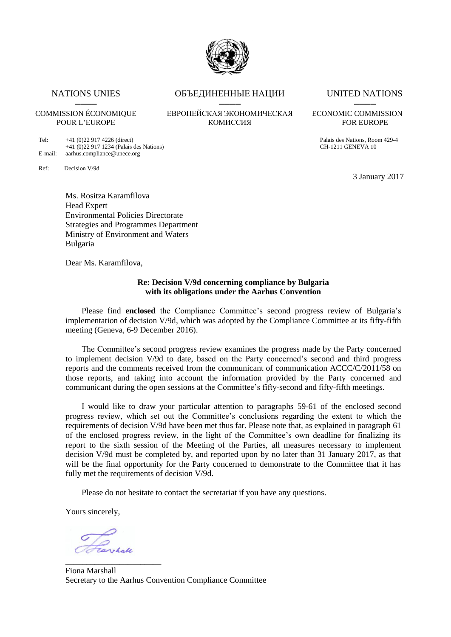

Tel: +41 (0)22 917 4226 (direct)<br>+41 (0)22 917 1234 (Palais des Nations) CH-1211 GENEVA 10  $+41$  (0)22 917 1234 (Palais des Nations) E-mail: aarhus.compliance@unece.org

Ref: Decision V/9d

NATIONS UNIES ОБЪЕДИНЕННЫЕ НАЦИИ UNITED NATIONS ──── ──── ────

## COMMISSION ÉCONOMIQUE ЕВРОПЕЙСКАЯ ЭКОНОМИЧЕСКАЯ ECONOMIC COMMISSION POUR L'EUROPE КОМИССИЯ FOR EUROPE

3 January 2017

Ms. Rositza Karamfilova Head Expert Environmental Policies Directorate Strategies and Programmes Department Ministry of Environment and Waters Bulgaria

Dear Ms. Karamfilova,

### **Re: Decision V/9d concerning compliance by Bulgaria with its obligations under the Aarhus Convention**

Please find **enclosed** the Compliance Committee's second progress review of Bulgaria's implementation of decision V/9d, which was adopted by the Compliance Committee at its fifty-fifth meeting (Geneva, 6-9 December 2016).

The Committee's second progress review examines the progress made by the Party concerned to implement decision V/9d to date, based on the Party concerned's second and third progress reports and the comments received from the communicant of communication ACCC/C/2011/58 on those reports, and taking into account the information provided by the Party concerned and communicant during the open sessions at the Committee's fifty-second and fifty-fifth meetings.

I would like to draw your particular attention to paragraphs 59-61 of the enclosed second progress review, which set out the Committee's conclusions regarding the extent to which the requirements of decision V/9d have been met thus far. Please note that, as explained in paragraph 61 of the enclosed progress review, in the light of the Committee's own deadline for finalizing its report to the sixth session of the Meeting of the Parties, all measures necessary to implement decision V/9d must be completed by, and reported upon by no later than 31 January 2017, as that will be the final opportunity for the Party concerned to demonstrate to the Committee that it has fully met the requirements of decision V/9d.

Please do not hesitate to contact the secretariat if you have any questions.

Yours sincerely,

\_\_\_\_\_\_\_\_\_\_\_\_\_\_\_\_\_\_\_\_\_\_\_

Fiona Marshall Secretary to the Aarhus Convention Compliance Committee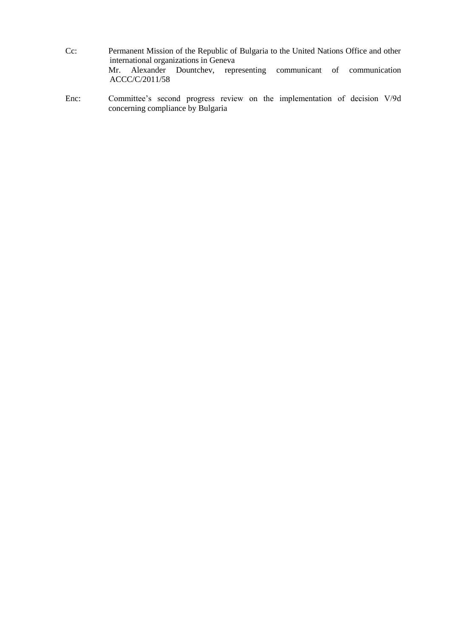- Cc: Permanent Mission of the Republic of Bulgaria to the United Nations Office and other international organizations in Geneva Mr. Alexander Dountchev, representing communicant of communication ACCC/C/2011/58
- Enc: Committee's second progress review on the implementation of decision V/9d concerning compliance by Bulgaria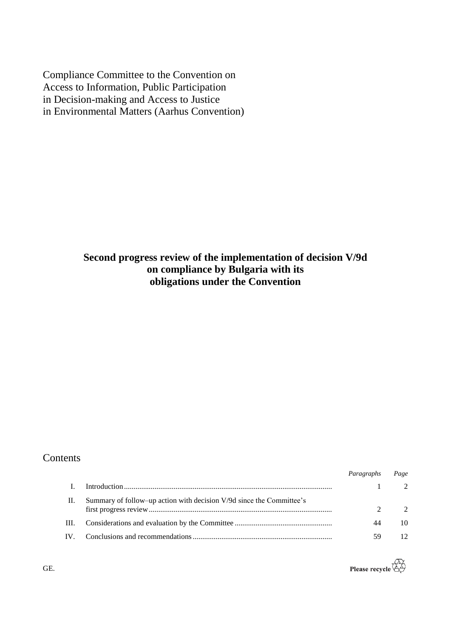Compliance Committee to the Convention on Access to Information, Public Participation in Decision-making and Access to Justice in Environmental Matters (Aarhus Convention)

# **Second progress review of the implementation of decision V/9d on compliance by Bulgaria with its obligations under the Convention**

## Contents

|          |                                                                      | Paragraphs | Page                        |
|----------|----------------------------------------------------------------------|------------|-----------------------------|
|          |                                                                      |            | $\mathcal{D}_{\mathcal{L}}$ |
| Н.       | Summary of follow-up action with decision V/9d since the Committee's |            | $\mathcal{D}$               |
| III.     |                                                                      | 44         | 10                          |
| $IV_{-}$ |                                                                      | 5q         | 12                          |



GE.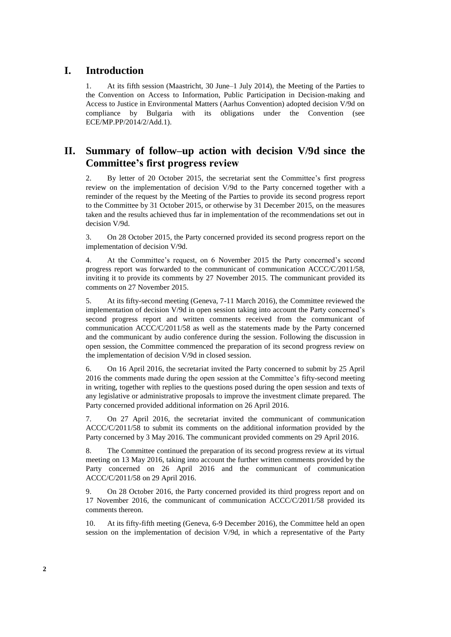# **I. Introduction**

1. At its fifth session (Maastricht, 30 June–1 July 2014), the Meeting of the Parties to the Convention on Access to Information, Public Participation in Decision-making and Access to Justice in Environmental Matters (Aarhus Convention) adopted decision V/9d on compliance by Bulgaria with its obligations under the Convention (see ECE/MP.PP/2014/2/Add.1).

# **II. Summary of follow–up action with decision V/9d since the Committee's first progress review**

2. By letter of 20 October 2015, the secretariat sent the Committee's first progress review on the implementation of decision V/9d to the Party concerned together with a reminder of the request by the Meeting of the Parties to provide its second progress report to the Committee by 31 October 2015, or otherwise by 31 December 2015, on the measures taken and the results achieved thus far in implementation of the recommendations set out in decision V/9d.

3. On 28 October 2015, the Party concerned provided its second progress report on the implementation of decision V/9d.

4. At the Committee's request, on 6 November 2015 the Party concerned's second progress report was forwarded to the communicant of communication ACCC/C/2011/58, inviting it to provide its comments by 27 November 2015. The communicant provided its comments on 27 November 2015.

5. At its fifty-second meeting (Geneva, 7-11 March 2016), the Committee reviewed the implementation of decision V/9d in open session taking into account the Party concerned's second progress report and written comments received from the communicant of communication ACCC/C/2011/58 as well as the statements made by the Party concerned and the communicant by audio conference during the session. Following the discussion in open session, the Committee commenced the preparation of its second progress review on the implementation of decision V/9d in closed session.

6. On 16 April 2016, the secretariat invited the Party concerned to submit by 25 April 2016 the comments made during the open session at the Committee's fifty-second meeting in writing, together with replies to the questions posed during the open session and texts of any legislative or administrative proposals to improve the investment climate prepared. The Party concerned provided additional information on 26 April 2016.

7. On 27 April 2016, the secretariat invited the communicant of communication ACCC/C/2011/58 to submit its comments on the additional information provided by the Party concerned by 3 May 2016. The communicant provided comments on 29 April 2016.

8. The Committee continued the preparation of its second progress review at its virtual meeting on 13 May 2016, taking into account the further written comments provided by the Party concerned on 26 April 2016 and the communicant of communication ACCC/C/2011/58 on 29 April 2016.

9. On 28 October 2016, the Party concerned provided its third progress report and on 17 November 2016, the communicant of communication ACCC/C/2011/58 provided its comments thereon.

10. At its fifty-fifth meeting (Geneva, 6-9 December 2016), the Committee held an open session on the implementation of decision V/9d, in which a representative of the Party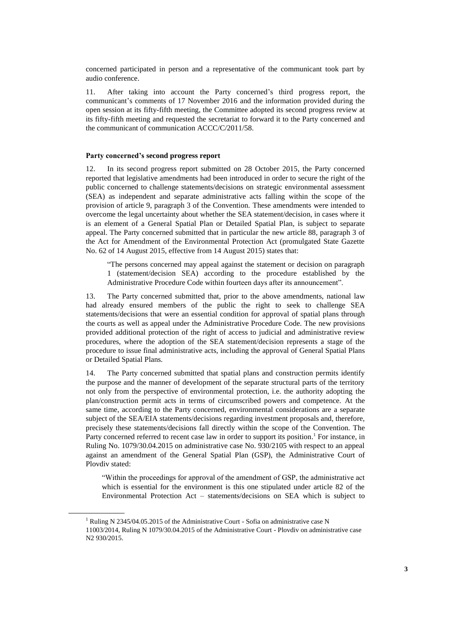concerned participated in person and a representative of the communicant took part by audio conference.

11. After taking into account the Party concerned's third progress report, the communicant's comments of 17 November 2016 and the information provided during the open session at its fifty-fifth meeting, the Committee adopted its second progress review at its fifty-fifth meeting and requested the secretariat to forward it to the Party concerned and the communicant of communication ACCC/C/2011/58.

### **Party concerned's second progress report**

12. In its second progress report submitted on 28 October 2015, the Party concerned reported that legislative amendments had been introduced in order to secure the right of the public concerned to challenge statements/decisions on strategic environmental assessment (SEA) as independent and separate administrative acts falling within the scope of the provision of article 9, paragraph 3 of the Convention. These amendments were intended to overcome the legal uncertainty about whether the SEA statement/decision, in cases where it is an element of a General Spatial Plan or Detailed Spatial Plan, is subject to separate appeal. The Party concerned submitted that in particular the new article 88, paragraph 3 of the Act for Amendment of the Environmental Protection Act (promulgated State Gazette No. 62 of 14 August 2015, effective from 14 August 2015) states that:

"The persons concerned may appeal against the statement or decision on paragraph 1 (statement/decision SEA) according to the procedure established by the Administrative Procedure Code within fourteen days after its announcement".

13. The Party concerned submitted that, prior to the above amendments, national law had already ensured members of the public the right to seek to challenge SEA statements/decisions that were an essential condition for approval of spatial plans through the courts as well as appeal under the Administrative Procedure Code. The new provisions provided additional protection of the right of access to judicial and administrative review procedures, where the adoption of the SEA statement/decision represents a stage of the procedure to issue final administrative acts, including the approval of General Spatial Plans or Detailed Spatial Plans.

14. The Party concerned submitted that spatial plans and construction permits identify the purpose and the manner of development of the separate structural parts of the territory not only from the perspective of environmental protection, i.e. the authority adopting the plan/construction permit acts in terms of circumscribed powers and competence. At the same time, according to the Party concerned, environmental considerations are a separate subject of the SEA/EIA statements/decisions regarding investment proposals and, therefore, precisely these statements/decisions fall directly within the scope of the Convention. The Party concerned referred to recent case law in order to support its position.<sup>1</sup> For instance, in Ruling No. 1079/30.04.2015 on administrative case No. 930/2105 with respect to an appeal against an amendment of the General Spatial Plan (GSP), the Administrative Court of Plovdiv stated:

"Within the proceedings for approval of the amendment of GSP, the administrative act which is essential for the environment is this one stipulated under article 82 of the Environmental Protection Act – statements/decisions on SEA which is subject to

<sup>&</sup>lt;sup>1</sup> Ruling N 2345/04.05.2015 of the Administrative Court - Sofia on administrative case N

<sup>11003/2014,</sup> Ruling N 1079/30.04.2015 of the Administrative Court - Plovdiv on administrative case N2 930/2015.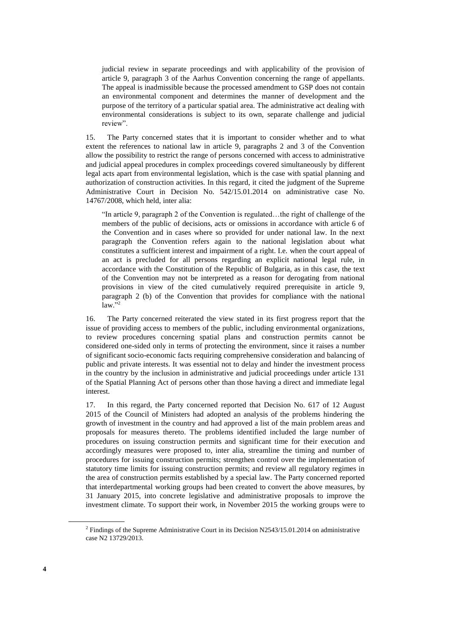judicial review in separate proceedings and with applicability of the provision of article 9, paragraph 3 of the Aarhus Convention concerning the range of appellants. The appeal is inadmissible because the processed amendment to GSP does not contain an environmental component and determines the manner of development and the purpose of the territory of a particular spatial area. The administrative act dealing with environmental considerations is subject to its own, separate challenge and judicial review".

15. The Party concerned states that it is important to consider whether and to what extent the references to national law in article 9, paragraphs 2 and 3 of the Convention allow the possibility to restrict the range of persons concerned with access to administrative and judicial appeal procedures in complex proceedings covered simultaneously by different legal acts apart from environmental legislation, which is the case with spatial planning and authorization of construction activities. In this regard, it cited the judgment of the Supreme Administrative Court in Decision No. 542/15.01.2014 on administrative case No. 14767/2008, which held, inter alia:

"In article 9, paragraph 2 of the Convention is regulated…the right of challenge of the members of the public of decisions, acts or omissions in accordance with article 6 of the Convention and in cases where so provided for under national law. In the next paragraph the Convention refers again to the national legislation about what constitutes a sufficient interest and impairment of a right. I.e. when the court appeal of an act is precluded for all persons regarding an explicit national legal rule, in accordance with the Constitution of the Republic of Bulgaria, as in this case, the text of the Convention may not be interpreted as a reason for derogating from national provisions in view of the cited cumulatively required prerequisite in article 9, paragraph 2 (b) of the Convention that provides for compliance with the national law." 2

<span id="page-5-1"></span>16. The Party concerned reiterated the view stated in its first progress report that the issue of providing access to members of the public, including environmental organizations, to review procedures concerning spatial plans and construction permits cannot be considered one-sided only in terms of protecting the environment, since it raises a number of significant socio-economic facts requiring comprehensive consideration and balancing of public and private interests. It was essential not to delay and hinder the investment process in the country by the inclusion in administrative and judicial proceedings under article 131 of the Spatial Planning Act of persons other than those having a direct and immediate legal interest.

<span id="page-5-0"></span>17. In this regard, the Party concerned reported that Decision No. 617 of 12 August 2015 of the Council of Ministers had adopted an analysis of the problems hindering the growth of investment in the country and had approved a list of the main problem areas and proposals for measures thereto. The problems identified included the large number of procedures on issuing construction permits and significant time for their execution and accordingly measures were proposed to, inter alia, streamline the timing and number of procedures for issuing construction permits; strengthen control over the implementation of statutory time limits for issuing construction permits; and review all regulatory regimes in the area of construction permits established by a special law. The Party concerned reported that interdepartmental working groups had been created to convert the above measures, by 31 January 2015, into concrete legislative and administrative proposals to improve the investment climate. To support their work, in November 2015 the working groups were to

 $2$  Findings of the Supreme Administrative Court in its Decision N2543/15.01.2014 on administrative case N2 13729/2013.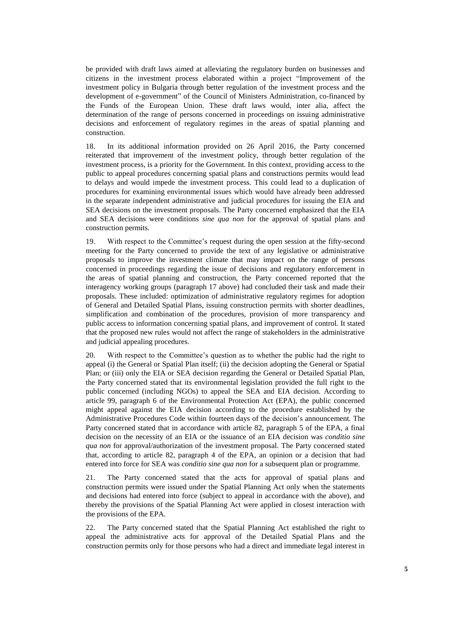be provided with draft laws aimed at alleviating the regulatory burden on businesses and citizens in the investment process elaborated within a project "Improvement of the investment policy in Bulgaria through better regulation of the investment process and the development of e-government" of the Council of Ministers Administration, co-financed by the Funds of the European Union. These draft laws would, inter alia, affect the determination of the range of persons concerned in proceedings on issuing administrative decisions and enforcement of regulatory regimes in the areas of spatial planning and construction.

18. In its additional information provided on 26 April 2016, the Party concerned reiterated that improvement of the investment policy, through better regulation of the investment process, is a priority for the Government. In this context, providing access to the public to appeal procedures concerning spatial plans and constructions permits would lead to delays and would impede the investment process. This could lead to a duplication of procedures for examining environmental issues which would have already been addressed in the separate independent administrative and judicial procedures for issuing the EIA and SEA decisions on the investment proposals. The Party concerned emphasized that the EIA and SEA decisions were conditions *sine qua non* for the approval of spatial plans and construction permits.

19. With respect to the Committee's request during the open session at the fifty-second meeting for the Party concerned to provide the text of any legislative or administrative proposals to improve the investment climate that may impact on the range of persons concerned in proceedings regarding the issue of decisions and regulatory enforcement in the areas of spatial planning and construction, the Party concerned reported that the interagency working groups (paragraph [17](#page-5-0) above) had concluded their task and made their proposals. These included: optimization of administrative regulatory regimes for adoption of General and Detailed Spatial Plans, issuing construction permits with shorter deadlines, simplification and combination of the procedures, provision of more transparency and public access to information concerning spatial plans, and improvement of control. It stated that the proposed new rules would not affect the range of stakeholders in the administrative and judicial appealing procedures.

20. With respect to the Committee's question as to whether the public had the right to appeal (i) the General or Spatial Plan itself; (ii) the decision adopting the General or Spatial Plan; or (iii) only the EIA or SEA decision regarding the General or Detailed Spatial Plan, the Party concerned stated that its environmental legislation provided the full right to the public concerned (including NGOs) to appeal the SEA and EIA decision. According to article 99, paragraph 6 of the Environmental Protection Act (EPA), the public concerned might appeal against the EIA decision according to the procedure established by the Administrative Procedures Code within fourteen days of the decision's announcement. The Party concerned stated that in accordance with article 82, paragraph 5 of the EPA, a final decision on the necessity of an EIA or the issuance of an EIA decision was *conditio sine qua non* for approval/authorization of the investment proposal. The Party concerned stated that, according to article 82, paragraph 4 of the EPA, an opinion or a decision that had entered into force for SEA was *conditio sine qua non* for a subsequent plan or programme.

21. The Party concerned stated that the acts for approval of spatial plans and construction permits were issued under the Spatial Planning Act only when the statements and decisions had entered into force (subject to appeal in accordance with the above), and thereby the provisions of the Spatial Planning Act were applied in closest interaction with the provisions of the EPA.

22. The Party concerned stated that the Spatial Planning Act established the right to appeal the administrative acts for approval of the Detailed Spatial Plans and the construction permits only for those persons who had a direct and immediate legal interest in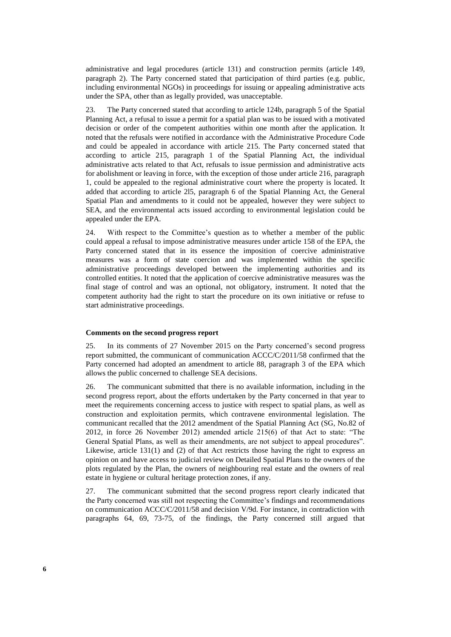administrative and legal procedures (article 131) and construction permits (article 149, paragraph 2). The Party concerned stated that participation of third parties (e.g. public, including environmental NGOs) in proceedings for issuing or appealing administrative acts under the SPA, other than as legally provided, was unacceptable.

23. The Party concerned stated that according to article 124b, paragraph 5 of the Spatial Planning Act, a refusal to issue a permit for a spatial plan was to be issued with a motivated decision or order of the competent authorities within one month after the application. It noted that the refusals were notified in accordance with the Administrative Procedure Code and could be appealed in accordance with article 215. The Party concerned stated that according to article 215, paragraph 1 of the Spatial Planning Act, the individual administrative acts related to that Act, refusals to issue permission and administrative acts for abolishment or leaving in force, with the exception of those under article 216, paragraph 1, could be appealed to the regional administrative court where the property is located. It added that according to article 2l5, paragraph 6 of the Spatial Planning Act, the General Spatial Plan and amendments to it could not be appealed, however they were subject to SEA, and the environmental acts issued according to environmental legislation could be appealed under the EPA.

24. With respect to the Committee's question as to whether a member of the public could appeal a refusal to impose administrative measures under article 158 of the EPA, the Party concerned stated that in its essence the imposition of coercive administrative measures was a form of state coercion and was implemented within the specific administrative proceedings developed between the implementing authorities and its controlled entities. It noted that the application of coercive administrative measures was the final stage of control and was an optional, not obligatory, instrument. It noted that the competent authority had the right to start the procedure on its own initiative or refuse to start administrative proceedings.

### **Comments on the second progress report**

25. In its comments of 27 November 2015 on the Party concerned's second progress report submitted, the communicant of communication ACCC/C/2011/58 confirmed that the Party concerned had adopted an amendment to article 88, paragraph 3 of the EPA which allows the public concerned to challenge SEA decisions.

26. The communicant submitted that there is no available information, including in the second progress report, about the efforts undertaken by the Party concerned in that year to meet the requirements concerning access to justice with respect to spatial plans, as well as construction and exploitation permits, which contravene environmental legislation. The communicant recalled that the 2012 amendment of the Spatial Planning Act (SG, No.82 of 2012, in force 26 November 2012) amended article 215(6) of that Act to state: "The General Spatial Plans, as well as their amendments, are not subject to appeal procedures". Likewise, article 131(1) and (2) of that Act restricts those having the right to express an opinion on and have access to judicial review on Detailed Spatial Plans to the owners of the plots regulated by the Plan, the owners of neighbouring real estate and the owners of real estate in hygiene or cultural heritage protection zones, if any.

27. The communicant submitted that the second progress report clearly indicated that the Party concerned was still not respecting the Committee's findings and recommendations on communication ACCC/C/2011/58 and decision V/9d. For instance, in contradiction with paragraphs 64, 69, 73-75, of the findings, the Party concerned still argued that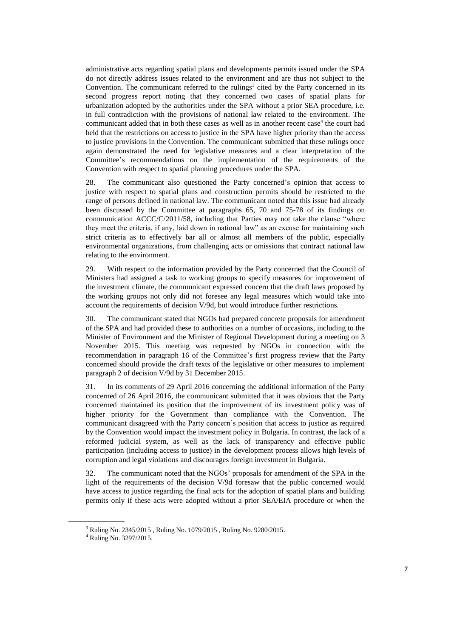administrative acts regarding spatial plans and developments permits issued under the SPA do not directly address issues related to the environment and are thus not subject to the Convention. The communicant referred to the rulings<sup>3</sup> cited by the Party concerned in its second progress report noting that they concerned two cases of spatial plans for urbanization adopted by the authorities under the SPA without a prior SEA procedure, i.e. in full contradiction with the provisions of national law related to the environment. The communicant added that in both these cases as well as in another recent case<sup>4</sup> the court had held that the restrictions on access to justice in the SPA have higher priority than the access to justice provisions in the Convention. The communicant submitted that these rulings once again demonstrated the need for legislative measures and a clear interpretation of the Committee's recommendations on the implementation of the requirements of the Convention with respect to spatial planning procedures under the SPA.

28. The communicant also questioned the Party concerned's opinion that access to justice with respect to spatial plans and construction permits should be restricted to the range of persons defined in national law. The communicant noted that this issue had already been discussed by the Committee at paragraphs 65, 70 and 75-78 of its findings on communication ACCC/C/2011/58, including that Parties may not take the clause "where they meet the criteria, if any, laid down in national law" as an excuse for maintaining such strict criteria as to effectively bar all or almost all members of the public, especially environmental organizations, from challenging acts or omissions that contract national law relating to the environment.

29. With respect to the information provided by the Party concerned that the Council of Ministers had assigned a task to working groups to specify measures for improvement of the investment climate, the communicant expressed concern that the draft laws proposed by the working groups not only did not foresee any legal measures which would take into account the requirements of decision V/9d, but would introduce further restrictions.

30. The communicant stated that NGOs had prepared concrete proposals for amendment of the SPA and had provided these to authorities on a number of occasions, including to the Minister of Environment and the Minister of Regional Development during a meeting on 3 November 2015. This meeting was requested by NGOs in connection with the recommendation in paragraph 16 of the Committee's first progress review that the Party concerned should provide the draft texts of the legislative or other measures to implement paragraph 2 of decision V/9d by 31 December 2015.

31. In its comments of 29 April 2016 concerning the additional information of the Party concerned of 26 April 2016, the communicant submitted that it was obvious that the Party concerned maintained its position that the improvement of its investment policy was of higher priority for the Government than compliance with the Convention. The communicant disagreed with the Party concern's position that access to justice as required by the Convention would impact the investment policy in Bulgaria. In contrast, the lack of a reformed judicial system, as well as the lack of transparency and effective public participation (including access to justice) in the development process allows high levels of corruption and legal violations and discourages foreign investment in Bulgaria.

32. The communicant noted that the NGOs' proposals for amendment of the SPA in the light of the requirements of the decision V/9d foresaw that the public concerned would have access to justice regarding the final acts for the adoption of spatial plans and building permits only if these acts were adopted without a prior SEA/EIA procedure or when the

<sup>3</sup> Ruling No. 2345/2015 , Ruling No. 1079/2015 , Ruling No. 9280/2015.

<sup>4</sup> Ruling No. 3297/2015.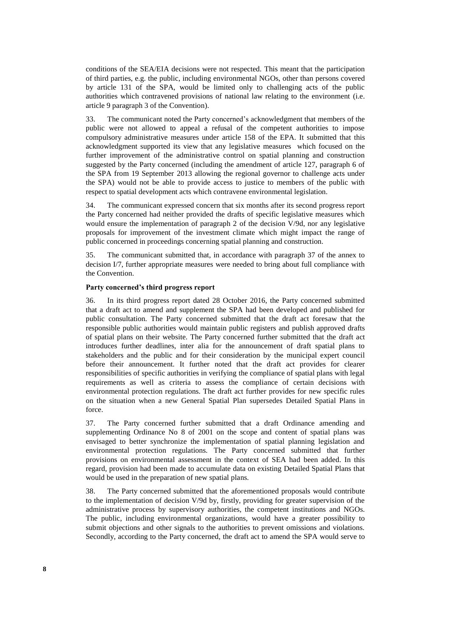conditions of the SEA/EIA decisions were not respected. This meant that the participation of third parties, e.g. the public, including environmental NGOs, other than persons covered by article 131 of the SPA, would be limited only to challenging acts of the public authorities which contravened provisions of national law relating to the environment (i.e. article 9 paragraph 3 of the Convention).

<span id="page-9-1"></span>33. The communicant noted the Party concerned's acknowledgment that members of the public were not allowed to appeal a refusal of the competent authorities to impose compulsory administrative measures under article 158 of the EPA. It submitted that this acknowledgment supported its view that any legislative measures which focused on the further improvement of the administrative control on spatial planning and construction suggested by the Party concerned (including the amendment of article 127, paragraph 6 of the SPA from 19 September 2013 allowing the regional governor to challenge acts under the SPA) would not be able to provide access to justice to members of the public with respect to spatial development acts which contravene environmental legislation.

34. The communicant expressed concern that six months after its second progress report the Party concerned had neither provided the drafts of specific legislative measures which would ensure the implementation of paragraph 2 of the decision V/9d, nor any legislative proposals for improvement of the investment climate which might impact the range of public concerned in proceedings concerning spatial planning and construction.

35. The communicant submitted that, in accordance with paragraph 37 of the annex to decision I/7, further appropriate measures were needed to bring about full compliance with the Convention.

### **Party concerned's third progress report**

<span id="page-9-2"></span>36. In its third progress report dated 28 October 2016, the Party concerned submitted that a draft act to amend and supplement the SPA had been developed and published for public consultation. The Party concerned submitted that the draft act foresaw that the responsible public authorities would maintain public registers and publish approved drafts of spatial plans on their website. The Party concerned further submitted that the draft act introduces further deadlines, inter alia for the announcement of draft spatial plans to stakeholders and the public and for their consideration by the municipal expert council before their announcement. It further noted that the draft act provides for clearer responsibilities of specific authorities in verifying the compliance of spatial plans with legal requirements as well as criteria to assess the compliance of certain decisions with environmental protection regulations. The draft act further provides for new specific rules on the situation when a new General Spatial Plan supersedes Detailed Spatial Plans in force.

37. The Party concerned further submitted that a draft Ordinance amending and supplementing Ordinance No 8 of 2001 on the scope and content of spatial plans was envisaged to better synchronize the implementation of spatial planning legislation and environmental protection regulations. The Party concerned submitted that further provisions on environmental assessment in the context of SEA had been added. In this regard, provision had been made to accumulate data on existing Detailed Spatial Plans that would be used in the preparation of new spatial plans.

<span id="page-9-0"></span>38. The Party concerned submitted that the aforementioned proposals would contribute to the implementation of decision V/9d by, firstly, providing for greater supervision of the administrative process by supervisory authorities, the competent institutions and NGOs. The public, including environmental organizations, would have a greater possibility to submit objections and other signals to the authorities to prevent omissions and violations. Secondly, according to the Party concerned, the draft act to amend the SPA would serve to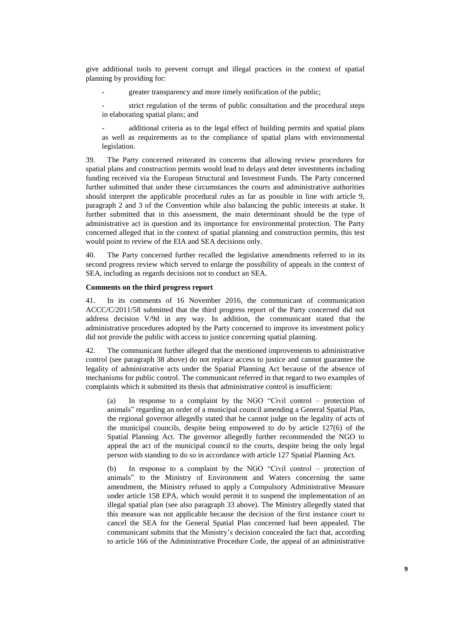give additional tools to prevent corrupt and illegal practices in the context of spatial planning by providing for:

greater transparency and more timely notification of the public;

strict regulation of the terms of public consultation and the procedural steps in elaborating spatial plans; and

additional criteria as to the legal effect of building permits and spatial plans as well as requirements as to the compliance of spatial plans with environmental legislation.

<span id="page-10-0"></span>39. The Party concerned reiterated its concerns that allowing review procedures for spatial plans and construction permits would lead to delays and deter investments including funding received via the European Structural and Investment Funds. The Party concerned further submitted that under these circumstances the courts and administrative authorities should interpret the applicable procedural rules as far as possible in line with article 9, paragraph 2 and 3 of the Convention while also balancing the public interests at stake. It further submitted that in this assessment, the main determinant should be the type of administrative act in question and its importance for environmental protection. The Party concerned alleged that in the context of spatial planning and construction permits, this test would point to review of the EIA and SEA decisions only.

40. The Party concerned further recalled the legislative amendments referred to in its second progress review which served to enlarge the possibility of appeals in the context of SEA, including as regards decisions not to conduct an SEA.

### **Comments on the third progress report**

41. In its comments of 16 November 2016, the communicant of communication ACCC/C/2011/58 submitted that the third progress report of the Party concerned did not address decision V/9d in any way. In addition, the communicant stated that the administrative procedures adopted by the Party concerned to improve its investment policy did not provide the public with access to justice concerning spatial planning.

42. The communicant further alleged that the mentioned improvements to administrative control (see paragraph [38](#page-9-0) above) do not replace access to justice and cannot guarantee the legality of administrative acts under the Spatial Planning Act because of the absence of mechanisms for public control. The communicant referred in that regard to two examples of complaints which it submitted its thesis that administrative control is insufficient:

(a) In response to a complaint by the NGO "Civil control – protection of animals" regarding an order of a municipal council amending a General Spatial Plan, the regional governor allegedly stated that he cannot judge on the legality of acts of the municipal councils, despite being empowered to do by article 127(6) of the Spatial Planning Act. The governor allegedly further recommended the NGO to appeal the act of the municipal council to the courts, despite being the only legal person with standing to do so in accordance with article 127 Spatial Planning Act.

In response to a complaint by the NGO "Civil control – protection of animals" to the Ministry of Environment and Waters concerning the same amendment, the Ministry refused to apply a Compulsory Administrative Measure under article 158 EPA, which would permit it to suspend the implementation of an illegal spatial plan (see also paragraph [33](#page-9-1) above). The Ministry allegedly stated that this measure was not applicable because the decision of the first instance court to cancel the SEA for the General Spatial Plan concerned had been appealed. The communicant submits that the Ministry's decision concealed the fact that, according to article 166 of the Administrative Procedure Code, the appeal of an administrative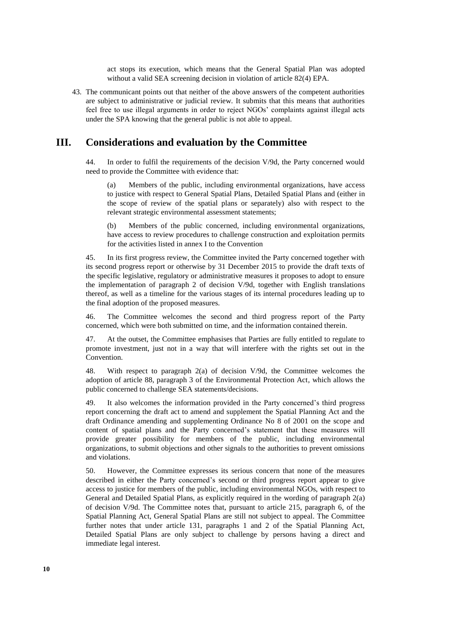act stops its execution, which means that the General Spatial Plan was adopted without a valid SEA screening decision in violation of article 82(4) EPA.

43. The communicant points out that neither of the above answers of the competent authorities are subject to administrative or judicial review. It submits that this means that authorities feel free to use illegal arguments in order to reject NGOs' complaints against illegal acts under the SPA knowing that the general public is not able to appeal.

## **III. Considerations and evaluation by the Committee**

44. In order to fulfil the requirements of the decision V/9d, the Party concerned would need to provide the Committee with evidence that:

Members of the public, including environmental organizations, have access to justice with respect to General Spatial Plans, Detailed Spatial Plans and (either in the scope of review of the spatial plans or separately) also with respect to the relevant strategic environmental assessment statements;

(b) Members of the public concerned, including environmental organizations, have access to review procedures to challenge construction and exploitation permits for the activities listed in annex I to the Convention

45. In its first progress review, the Committee invited the Party concerned together with its second progress report or otherwise by 31 December 2015 to provide the draft texts of the specific legislative, regulatory or administrative measures it proposes to adopt to ensure the implementation of paragraph 2 of decision V/9d, together with English translations thereof, as well as a timeline for the various stages of its internal procedures leading up to the final adoption of the proposed measures.

46. The Committee welcomes the second and third progress report of the Party concerned, which were both submitted on time, and the information contained therein.

47. At the outset, the Committee emphasises that Parties are fully entitled to regulate to promote investment, just not in a way that will interfere with the rights set out in the Convention.

48. With respect to paragraph 2(a) of decision V/9d, the Committee welcomes the adoption of article 88, paragraph 3 of the Environmental Protection Act, which allows the public concerned to challenge SEA statements/decisions.

49. It also welcomes the information provided in the Party concerned's third progress report concerning the draft act to amend and supplement the Spatial Planning Act and the draft Ordinance amending and supplementing Ordinance No 8 of 2001 on the scope and content of spatial plans and the Party concerned's statement that these measures will provide greater possibility for members of the public, including environmental organizations, to submit objections and other signals to the authorities to prevent omissions and violations.

50. However, the Committee expresses its serious concern that none of the measures described in either the Party concerned's second or third progress report appear to give access to justice for members of the public, including environmental NGOs, with respect to General and Detailed Spatial Plans, as explicitly required in the wording of paragraph 2(a) of decision V/9d. The Committee notes that, pursuant to article 215, paragraph 6, of the Spatial Planning Act, General Spatial Plans are still not subject to appeal. The Committee further notes that under article 131, paragraphs 1 and 2 of the Spatial Planning Act, Detailed Spatial Plans are only subject to challenge by persons having a direct and immediate legal interest.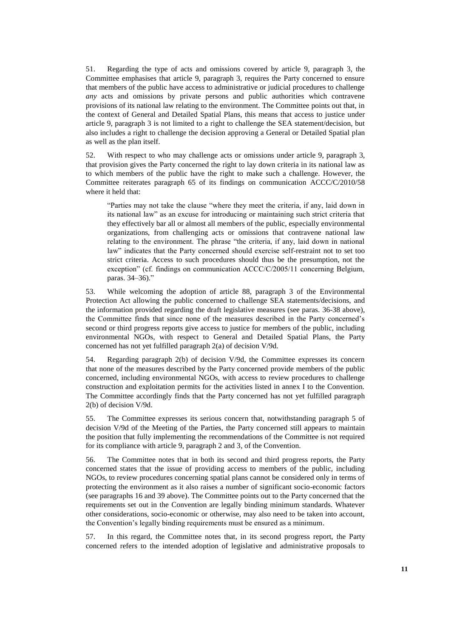51. Regarding the type of acts and omissions covered by article 9, paragraph 3, the Committee emphasises that article 9, paragraph 3, requires the Party concerned to ensure that members of the public have access to administrative or judicial procedures to challenge *any* acts and omissions by private persons and public authorities which contravene provisions of its national law relating to the environment. The Committee points out that, in the context of General and Detailed Spatial Plans, this means that access to justice under article 9, paragraph 3 is not limited to a right to challenge the SEA statement/decision, but also includes a right to challenge the decision approving a General or Detailed Spatial plan as well as the plan itself.

52. With respect to who may challenge acts or omissions under article 9, paragraph 3, that provision gives the Party concerned the right to lay down criteria in its national law as to which members of the public have the right to make such a challenge. However, the Committee reiterates paragraph 65 of its findings on communication ACCC/C/2010/58 where it held that:

"Parties may not take the clause "where they meet the criteria, if any, laid down in its national law" as an excuse for introducing or maintaining such strict criteria that they effectively bar all or almost all members of the public, especially environmental organizations, from challenging acts or omissions that contravene national law relating to the environment. The phrase "the criteria, if any, laid down in national law" indicates that the Party concerned should exercise self-restraint not to set too strict criteria. Access to such procedures should thus be the presumption, not the exception" (cf. findings on communication ACCC/C/2005/11 concerning Belgium, paras. 34–36)."

53. While welcoming the adoption of article 88, paragraph 3 of the Environmental Protection Act allowing the public concerned to challenge SEA statements/decisions, and the information provided regarding the draft legislative measures (see paras. [36](#page-9-2)[-38](#page-9-0) above), the Committee finds that since none of the measures described in the Party concerned's second or third progress reports give access to justice for members of the public, including environmental NGOs, with respect to General and Detailed Spatial Plans, the Party concerned has not yet fulfilled paragraph 2(a) of decision V/9d.

54. Regarding paragraph 2(b) of decision V/9d, the Committee expresses its concern that none of the measures described by the Party concerned provide members of the public concerned, including environmental NGOs, with access to review procedures to challenge construction and exploitation permits for the activities listed in annex I to the Convention. The Committee accordingly finds that the Party concerned has not yet fulfilled paragraph 2(b) of decision V/9d.

55. The Committee expresses its serious concern that, notwithstanding paragraph 5 of decision V/9d of the Meeting of the Parties, the Party concerned still appears to maintain the position that fully implementing the recommendations of the Committee is not required for its compliance with article 9, paragraph 2 and 3, of the Convention.

56. The Committee notes that in both its second and third progress reports, the Party concerned states that the issue of providing access to members of the public, including NGOs, to review procedures concerning spatial plans cannot be considered only in terms of protecting the environment as it also raises a number of significant socio-economic factors (see paragraphs [16](#page-5-1) and [39](#page-10-0) above). The Committee points out to the Party concerned that the requirements set out in the Convention are legally binding minimum standards. Whatever other considerations, socio-economic or otherwise, may also need to be taken into account, the Convention's legally binding requirements must be ensured as a minimum.

57. In this regard, the Committee notes that, in its second progress report, the Party concerned refers to the intended adoption of legislative and administrative proposals to